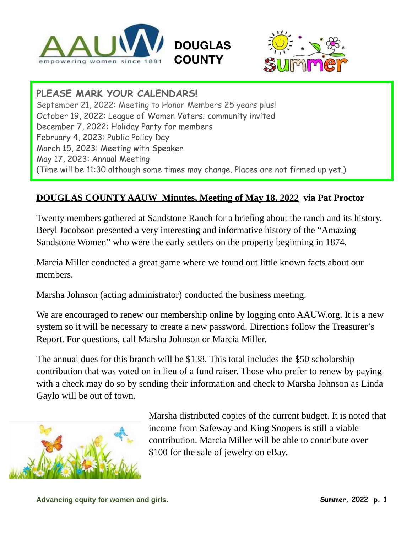



## **PLEASE MARK YOUR CALENDARS!**

September 21, 2022: Meeting to Honor Members 25 years plus! October 19, 2022: League of Women Voters; community invited December 7, 2022: Holiday Party for members February 4, 2023: Public Policy Day March 15, 2023: Meeting with Speaker May 17, 2023: Annual Meeting (Time will be 11:30 although some times may change. Places are not firmed up yet.)

**DOUGLAS** 

**COUNTY** 

#### **DOUGLAS COUNTY AAUW Minutes, Meeting of May 18, 2022 via Pat Proctor**

Twenty members gathered at Sandstone Ranch for a briefing about the ranch and its history. Beryl Jacobson presented a very interesting and informative history of the "Amazing Sandstone Women" who were the early settlers on the property beginning in 1874.

Marcia Miller conducted a great game where we found out little known facts about our members.

Marsha Johnson (acting administrator) conducted the business meeting.

We are encouraged to renew our membership online by logging onto AAUW.org. It is a new system so it will be necessary to create a new password. Directions follow the Treasurer's Report. For questions, call Marsha Johnson or Marcia Miller.

The annual dues for this branch will be \$138. This total includes the \$50 scholarship contribution that was voted on in lieu of a fund raiser. Those who prefer to renew by paying with a check may do so by sending their information and check to Marsha Johnson as Linda Gaylo will be out of town.



Marsha distributed copies of the current budget. It is noted that income from Safeway and King Soopers is still a viable contribution. Marcia Miller will be able to contribute over \$100 for the sale of jewelry on eBay.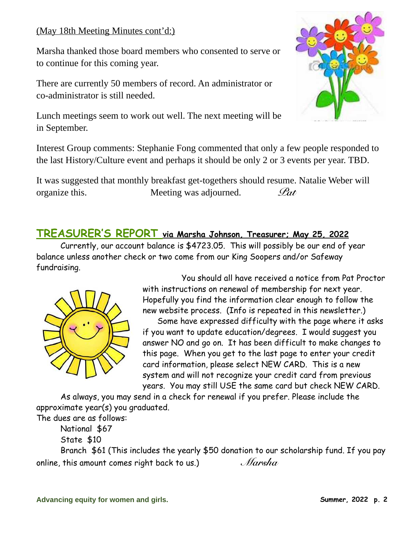### (May 18th Meeting Minutes cont'd:)

Marsha thanked those board members who consented to serve or to continue for this coming year.

There are currently 50 members of record. An administrator or co-administrator is still needed.



Lunch meetings seem to work out well. The next meeting will be in September.

Interest Group comments: Stephanie Fong commented that only a few people responded to the last History/Culture event and perhaps it should be only 2 or 3 events per year. TBD.

It was suggested that monthly breakfast get-togethers should resume. Natalie Weber will organize this. Meeting was adjourned. *Pat*

## **TREASURER'S REPORT via Marsha Johnson, Treasurer; May 25, 2022**

Currently, our account balance is \$4723.05. This will possibly be our end of year balance unless another check or two come from our King Soopers and/or Safeway fundraising.



You should all have received a notice from Pat Proctor with instructions on renewal of membership for next year. Hopefully you find the information clear enough to follow the new website process. (Info is repeated in this newsletter.)

Some have expressed difficulty with the page where it asks if you want to update education/degrees. I would suggest you answer NO and go on. It has been difficult to make changes to this page. When you get to the last page to enter your credit card information, please select NEW CARD. This is a new system and will not recognize your credit card from previous years. You may still USE the same card but check NEW CARD.

As always, you may send in a check for renewal if you prefer. Please include the approximate year(s) you graduated.

The dues are as follows: National \$67

State \$10

Branch \$61 (This includes the yearly \$50 donation to our scholarship fund. If you pay online, this amount comes right back to us.) *Marsha*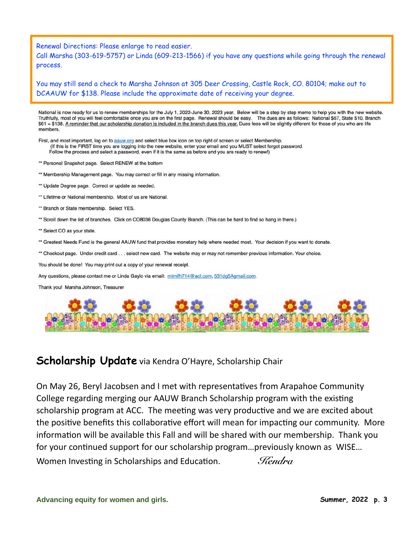Renewal Directions: Please enlarge to read easier.

Call Marsha (303-619-5757) or Linda (609-213-1566) if you have any questions while going through the renewal process.

You may still send a check to Marsha Johnson at 305 Deer Crossing, Castle Rock, CO. 80104; make out to DCAAUW for \$138. Please include the approximate date of receiving your degree.

National is now ready for us to renew memberships for the July 1, 2022-June 30, 2023 year. Below will be a step by step memo to help you with the new website. Truthfully, most of you will feel comfortable once you are on the first page. Renewal should be easy. The dues are as follows: National \$67, State \$10, Branch \$61 = \$138. A reminder that our scholarship donation is included in the branch dues this year. Dues fees will be slightly different for those of you who are life members.

First, and most important, log on to aguw.org and select blue box icon on top right of screen or select Membership. (If this is the FIRST time you are logging into the new website, enter your email and you MUST select forgot password. Follow the process and select a password, even if it is the same as before and you are ready to renew!)

\*\* Personal Snapshot page. Select RENEW at the bottom

\*\* Membership Management page. You may correct or fill in any missing information.

- \*\* Update Degree page. Correct or update as needed.
- \*\* Lifetime or National membership. Most of us are National.
- \*\* Branch or State membership. Select YES.
- \*\* Scroll down the list of branches. Click on CO8036 Douglas County Branch. (This can be hard to find so hang in there.)
- \*\* Select CO as your state.
- \*\* Greatest Needs Fund is the general AAUW fund that provides monetary help where needed most. Your decision if you want to donate.
- \*\* Checkout page. Under credit card . . . select new card. The website may or may not remember previous information. Your choice.

You should be done! You may print out a copy of your renewal receipt.

Any questions, please contact me or Linda Gaylo via email: mimifh714@aol.com, 531dg5Agmail.com.

Thank you! Marsha Johnson, Treasurer



#### **Scholarship Update** via Kendra O'Hayre, Scholarship Chair

On May 26, Beryl Jacobsen and I met with representatives from Arapahoe Community College regarding merging our AAUW Branch Scholarship program with the existing scholarship program at ACC. The meeting was very productive and we are excited about the positive benefits this collaborative effort will mean for impacting our community. More information will be available this Fall and will be shared with our membership. Thank you for your continued support for our scholarship program…previously known as WISE… Women Investing in Scholarships and Education. *Kendra*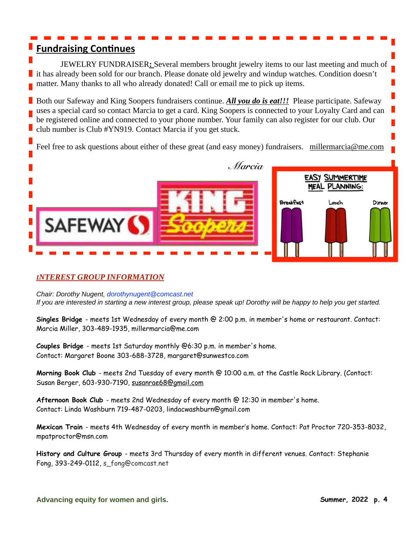## **Fundraising Continues**

JEWELRY FUNDRAISER**:** Several members brought jewelry items to our last meeting and much of it has already been sold for our branch. Please donate old jewelry and windup watches. Condition doesn't matter. Many thanks to all who already donated! Call or email me to pick up items.

Both our Safeway and King Soopers fundraisers continue. All you do is eat!!! Please participate. Safeway uses a special card so contact Marcia to get a card. King Soopers is connected to your Loyalty Card and can be registered online and connected to your phone number. Your family can also register for our club. Our club number is Club #YN919. Contact Marcia if you get stuck.

Feel free to ask questions about either of these great (and easy money) fundraisers. [millermarcia@me.com](mailto:millermarcia@me.com)



#### *INTEREST GROUP INFORMATION*

Chair: Dorothy Nugent, dorothynugent@comcast.net If you are interested in starting a new interest group, please speak up! Dorothy will be happy to help you get started.

**Singles Bridge** - meets 1st Wednesday of every month @ 2:00 p.m. in member's home or restaurant. Contact: Marcia Miller, 303-489-1935, millermarcia@me.com

**Couples Bridge** - meets 1st Saturday monthly @6:30 p.m. in member's home. Contact: Margaret Boone 303-688-3728, margaret@sunwestco.com

**Morning Book Club** - meets 2nd Tuesday of every month @ 10:00 a.m. at the Castle Rock Library. (Contact: Susan Berger, 603-930-7190, [susanrae68@gmail.com](mailto:susanrae68@gmail.com)

**Afternoon Book Club** - meets 2nd Wednesday of every month @ 12:30 in member's home. Contact: Linda Washburn 719-487-0203, lindacwashburn@gmail.com

**Mexican Train** - meets 4th Wednesday of every month in member's home. Contact: Pat Proctor 720-353-8032, mpatproctor@msn.com

**History and Culture Group** - meets 3rd Thursday of every month in different venues. Contact: Stephanie Fong, 393-249-0112, s\_fong@comcast.net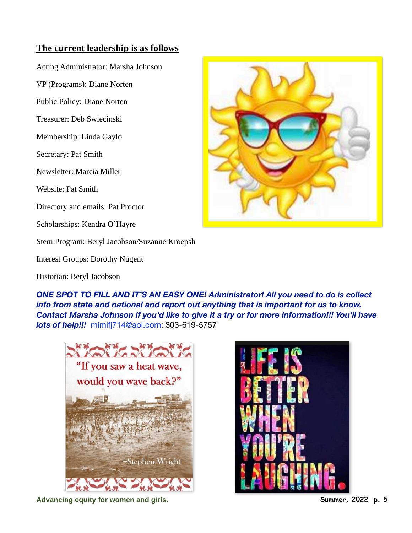#### **The current leadership is as follows**

Acting Administrator: Marsha Johnson

VP (Programs): Diane Norten

Public Policy: Diane Norten

Treasurer: Deb Swiecinski

Membership: Linda Gaylo

Secretary: Pat Smith

Newsletter: Marcia Miller

Website: Pat Smith

Directory and emails: Pat Proctor

Scholarships: Kendra O'Hayre

Stem Program: Beryl Jacobson/Suzanne Kroepsh

Interest Groups: Dorothy Nugent

Historian: Beryl Jacobson



*ONE SPOT TO FILL AND IT'S AN EASY ONE! Administrator! All you need to do is collect info from state and national and report out anything that is important for us to know. Contact Marsha Johnson if you'd like to give it a try or for more information!!! You'll have lots of help!!!* mimifj714@aol.com; 303-619-5757





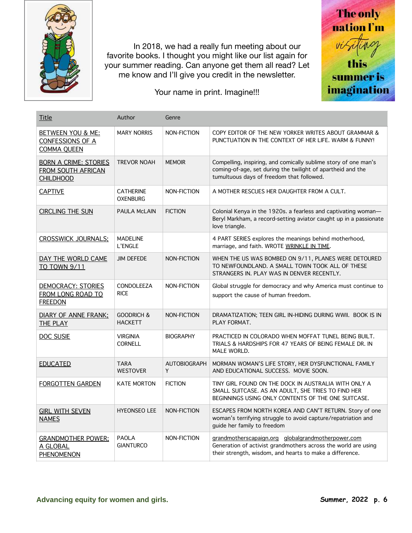

 In 2018, we had a really fun meeting about our favorite books. I thought you might like our list again for your summer reading. Can anyone get them all read? Let me know and I'll give you credit in the newsletter.

Your name in print. Imagine!!!



| Title                                                                  | Author                                  | Genre                    |                                                                                                                                                                                  |
|------------------------------------------------------------------------|-----------------------------------------|--------------------------|----------------------------------------------------------------------------------------------------------------------------------------------------------------------------------|
| <b>BETWEEN YOU &amp; ME:</b><br>CONFESSIONS OF A<br><b>COMMA QUEEN</b> | <b>MARY NORRIS</b>                      | NON-FICTION              | COPY EDITOR OF THE NEW YORKER WRITES ABOUT GRAMMAR &<br>PUNCTUATION IN THE CONTEXT OF HER LIFE, WARM & FUNNY!                                                                    |
| <b>BORN A CRIME: STORIES</b><br>FROM SOUTH AFRICAN<br><b>CHILDHOOD</b> | <b>TREVOR NOAH</b>                      | <b>MEMOIR</b>            | Compelling, inspiring, and comically sublime story of one man's<br>coming-of-age, set during the twilight of apartheid and the<br>tumultuous days of freedom that followed.      |
| <b>CAPTIVE</b>                                                         | <b>CATHERINE</b><br><b>OXENBURG</b>     | NON-FICTION              | A MOTHER RESCUES HER DAUGHTER FROM A CULT.                                                                                                                                       |
| <b>CIRCLING THE SUN</b>                                                | <b>PAULA McLAIN</b>                     | <b>FICTION</b>           | Colonial Kenya in the 1920s. a fearless and captivating woman-<br>Beryl Markham, a record-setting aviator caught up in a passionate<br>love triangle.                            |
| <b>CROSSWICK JOURNALS:</b>                                             | <b>MADELINE</b><br>L'ENGLE              |                          | 4 PART SERIES explores the meanings behind motherhood,<br>marriage, and faith. WROTE WRINKLE IN TIME.                                                                            |
| DAY THE WORLD CAME<br>TO TOWN 9/11                                     | <b>JIM DEFEDE</b>                       | NON-FICTION              | WHEN THE US WAS BOMBED ON 9/11, PLANES WERE DETOURED<br>TO NEWFOUNDLAND. A SMALL TOWN TOOK ALL OF THESE<br>STRANGERS IN. PLAY WAS IN DENVER RECENTLY.                            |
| <b>DEMOCRACY: STORIES</b><br>FROM LONG ROAD TO<br><b>FREEDON</b>       | <b>CONDOLEEZA</b><br><b>RICE</b>        | NON-FICTION              | Global struggle for democracy and why America must continue to<br>support the cause of human freedom.                                                                            |
| <b>DIARY OF ANNE FRANK:</b><br><b>THE PLAY</b>                         | <b>GOODRICH &amp;</b><br><b>HACKETT</b> | NON-FICTION              | DRAMATIZATION; TEEN GIRL IN-HIDING DURING WWII. BOOK IS IN<br>PLAY FORMAT.                                                                                                       |
| <b>DOC SUSIE</b>                                                       | <b>VIRGINIA</b><br><b>CORNELL</b>       | <b>BIOGRAPHY</b>         | PRACTICED IN COLORADO WHEN MOFFAT TUNEL BEING BUILT.<br>TRIALS & HARDSHIPS FOR 47 YEARS OF BEING FEMALE DR. IN<br>MALE WORLD.                                                    |
| <b>EDUCATED</b>                                                        | <b>TARA</b><br><b>WESTOVER</b>          | <b>AUTOBIOGRAPH</b><br>Y | MORMAN WOMAN'S LIFE STORY, HER DYSFUNCTIONAL FAMILY<br>AND EDUCATIONAL SUCCESS. MOVIE SOON.                                                                                      |
| <b>FORGOTTEN GARDEN</b>                                                | <b>KATE MORTON</b>                      | <b>FICTION</b>           | TINY GIRL FOUND ON THE DOCK IN AUSTRALIA WITH ONLY A<br>SMALL SUITCASE. AS AN ADULT, SHE TRIES TO FIND HER<br>BEGINNINGS USING ONLY CONTENTS OF THE ONE SUITCASE.                |
| <b>GIRL WITH SEVEN</b><br><b>NAMES</b>                                 | <b>HYEONSEO LEE</b>                     | NON-FICTION              | ESCAPES FROM NORTH KOREA AND CAN'T RETURN. Story of one<br>woman's terrifying struggle to avoid capture/repatriation and<br>guide her family to freedom                          |
| <b>GRANDMOTHER POWER:</b><br>A GLOBAL<br>PHENOMENON                    | <b>PAOLA</b><br><b>GIANTURCO</b>        | NON-FICTION              | grandmotherscapaign.org globalgrandmotherpower.com<br>Generation of activist grandmothers across the world are using<br>their strength, wisdom, and hearts to make a difference. |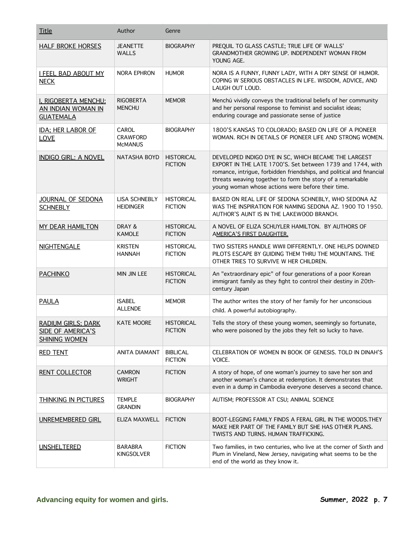| <b>Title</b>                                                           | Author                                     | Genre                               |                                                                                                                                                                                                                                                                                                                |
|------------------------------------------------------------------------|--------------------------------------------|-------------------------------------|----------------------------------------------------------------------------------------------------------------------------------------------------------------------------------------------------------------------------------------------------------------------------------------------------------------|
| <b>HALF BROKE HORSES</b>                                               | <b>JEANETTE</b><br>WALLS                   | <b>BIOGRAPHY</b>                    | PREQUIL TO GLASS CASTLE; TRUE LIFE OF WALLS'<br>GRANDMOTHER GROWING UP. INDEPENDENT WOMAN FROM<br>YOUNG AGE.                                                                                                                                                                                                   |
| <b>I FEEL BAD ABOUT MY</b><br><b>NECK</b>                              | NORA EPHRON                                | <b>HUMOR</b>                        | NORA IS A FUNNY, FUNNY LADY, WITH A DRY SENSE OF HUMOR.<br>COPING W SERIOUS OBSTACLES IN LIFE. WISDOM, ADVICE, AND<br>LAUGH OUT LOUD.                                                                                                                                                                          |
| I, RIGOBERTA MENCHU:<br>AN INDIAN WOMAN IN<br><b>GUATEMALA</b>         | <b>RIGOBERTA</b><br><b>MENCHU</b>          | <b>MEMOIR</b>                       | Menchú vividly conveys the traditional beliefs of her community<br>and her personal response to feminist and socialist ideas;<br>enduring courage and passionate sense of justice                                                                                                                              |
| IDA; HER LABOR OF<br><b>LOVE</b>                                       | CAROL<br><b>CRAWFORD</b><br><b>MCMANUS</b> | <b>BIOGRAPHY</b>                    | 1800'S KANSAS TO COLORADO; BASED ON LIFE OF A PIONEER<br>WOMAN, RICH IN DETAILS OF PIONEER LIFE AND STRONG WOMEN.                                                                                                                                                                                              |
| <b>INDIGO GIRL: A NOVEL</b>                                            | <b>NATASHA BOYD</b>                        | <b>HISTORICAL</b><br><b>FICTION</b> | DEVELOPED INDIGO DYE IN SC, WHICH BECAME THE LARGEST<br>EXPORT IN THE LATE 1700'S. Set between 1739 and 1744, with<br>romance, intrigue, forbidden friendships, and political and financial<br>threats weaving together to form the story of a remarkable<br>young woman whose actions were before their time. |
| JOURNAL OF SEDONA<br><b>SCHNEBLY</b>                                   | LISA SCHNEBLY<br><b>HEIDINGER</b>          | <b>HISTORICAL</b><br><b>FICTION</b> | BASED ON REAL LIFE OF SEDONA SCHNEBLY, WHO SEDONA AZ<br>WAS THE INSPIRATION FOR NAMING SEDONA AZ. 1900 TO 1950.<br>AUTHOR'S AUNT IS IN THE LAKEWOOD BRANCH.                                                                                                                                                    |
| <b>MY DEAR HAMILTON</b>                                                | DRAY &<br><b>KAMOLE</b>                    | <b>HISTORICAL</b><br><b>FICTION</b> | A NOVEL OF ELIZA SCHUYLER HAMILTON. BY AUTHORS OF<br>AMERICA'S FIRST DAUGHTER.                                                                                                                                                                                                                                 |
| <b>NIGHTENGALE</b>                                                     | <b>KRISTEN</b><br><b>HANNAH</b>            | <b>HISTORICAL</b><br><b>FICTION</b> | TWO SISTERS HANDLE WWII DIFFERENTLY. ONE HELPS DOWNED<br>PILOTS ESCAPE BY GUIDING THEM THRU THE MOUNTAINS. THE<br>OTHER TRIES TO SURVIVE W HER CHILDREN.                                                                                                                                                       |
| <b>PACHINKO</b>                                                        | <b>MIN JIN LEE</b>                         | <b>HISTORICAL</b><br><b>FICTION</b> | An "extraordinary epic" of four generations of a poor Korean<br>immigrant family as they fight to control their destiny in 20th-<br>century Japan                                                                                                                                                              |
| <b>PAULA</b>                                                           | <b>ISABEL</b><br><b>ALLENDE</b>            | <b>MEMOIR</b>                       | The author writes the story of her family for her unconscious<br>child. A powerful autobiography.                                                                                                                                                                                                              |
| <b>RADIUM GIRLS; DARK</b><br>SIDE OF AMERICA'S<br><b>SHINING WOMEN</b> | KATE MOORE                                 | <b>HISTORICAL</b><br><b>FICTION</b> | Tells the story of these young women, seemingly so fortunate,<br>who were poisoned by the jobs they felt so lucky to have.                                                                                                                                                                                     |
| <b>RED TENT</b>                                                        | <b>ANITA DIAMANT</b>                       | <b>BIBLICAL</b><br><b>FICTION</b>   | CELEBRATION OF WOMEN IN BOOK OF GENESIS. TOLD IN DINAH'S<br>VOICE.                                                                                                                                                                                                                                             |
| <b>RENT COLLECTOR</b>                                                  | <b>CAMRON</b><br><b>WRIGHT</b>             | <b>FICTION</b>                      | A story of hope, of one woman's journey to save her son and<br>another woman's chance at redemption. It demonstrates that<br>even in a dump in Cambodia everyone deserves a second chance.                                                                                                                     |
| THINKING IN PICTURES                                                   | <b>TEMPLE</b><br><b>GRANDIN</b>            | <b>BIOGRAPHY</b>                    | AUTISM; PROFESSOR AT CSU; ANIMAL SCIENCE                                                                                                                                                                                                                                                                       |
| UNREMEMBERED GIRL                                                      | ELIZA MAXWELL                              | <b>FICTION</b>                      | BOOT-LEGGING FAMILY FINDS A FERAL GIRL IN THE WOODS.THEY<br>MAKE HER PART OF THE FAMILY BUT SHE HAS OTHER PLANS.<br>TWISTS AND TURNS. HUMAN TRAFFICKING.                                                                                                                                                       |
| <b>UNSHELTERED</b>                                                     | <b>BARABRA</b><br><b>KINGSOLVER</b>        | <b>FICTION</b>                      | Two families, in two centuries, who live at the corner of Sixth and<br>Plum in Vineland, New Jersey, navigating what seems to be the<br>end of the world as they know it.                                                                                                                                      |